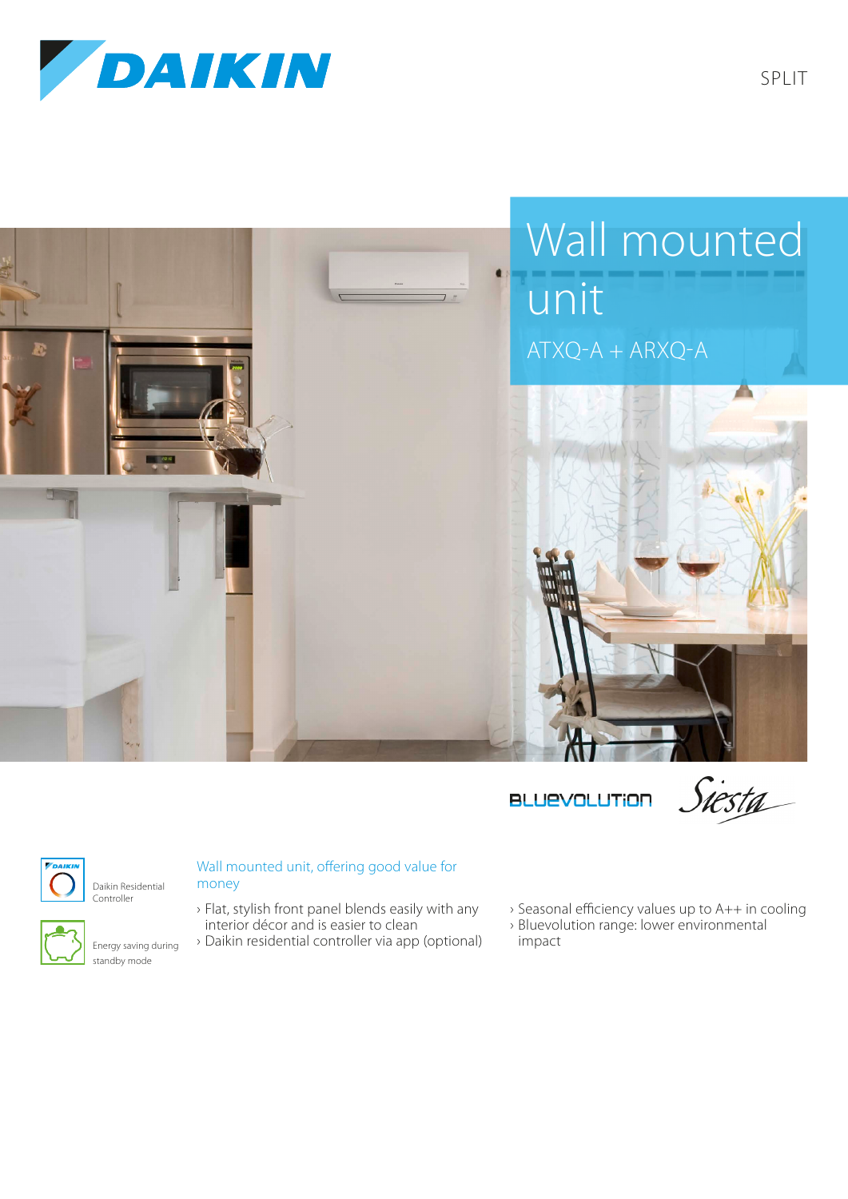



**BLUEVOLUTION** 

Siesta



Daikin Residential Controller



Energy saving during standby mode

## Wall mounted unit, offering good value for money

- › Flat, stylish front panel blends easily with any interior décor and is easier to clean
- › Daikin residential controller via app (optional)
- › Seasonal efficiency values up to A++ in cooling
- › Bluevolution range: lower environmental impact